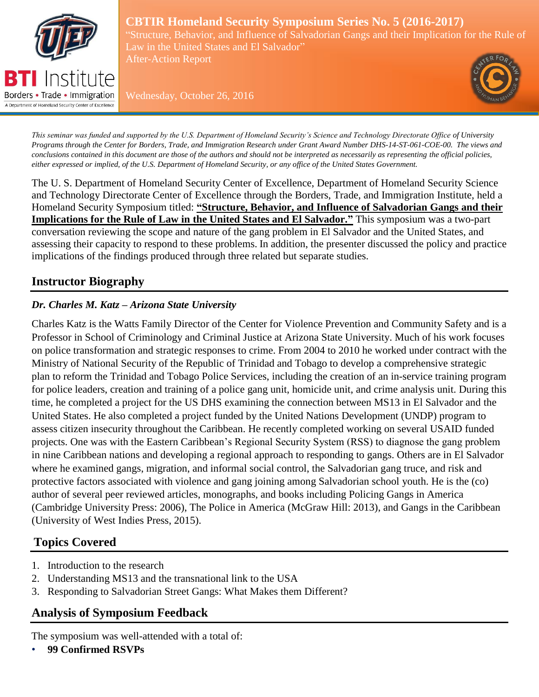

#### **CBTIR Homeland Security Symposium Series No. 5 (2016-2017)** "Structure, Behavior, and Influence of Salvadorian Gangs and their Implication for the Rule of Law in the United States and El Salvador"

After-Action Report



Wednesday, October 26, 2016

*This seminar was funded and supported by the U.S. Department of Homeland Security's Science and Technology Directorate Office of University Programs through the Center for Borders, Trade, and Immigration Research under Grant Award Number DHS-14-ST-061-COE-00. The views and conclusions contained in this document are those of the authors and should not be interpreted as necessarily as representing the official policies, either expressed or implied, of the U.S. Department of Homeland Security, or any office of the United States Government.*

The U. S. Department of Homeland Security Center of Excellence, Department of Homeland Security Science and Technology Directorate Center of Excellence through the Borders, Trade, and Immigration Institute, held a Homeland Security Symposium titled: **"Structure, Behavior, and Influence of Salvadorian Gangs and their Implications for the Rule of Law in the United States and El Salvador."** This symposium was a two-part conversation reviewing the scope and nature of the gang problem in El Salvador and the United States, and assessing their capacity to respond to these problems. In addition, the presenter discussed the policy and practice implications of the findings produced through three related but separate studies.

# **Instructor Biography**

## *Dr. Charles M. Katz – Arizona State University*

Charles Katz is the Watts Family Director of the Center for Violence Prevention and Community Safety and is a Professor in School of Criminology and Criminal Justice at Arizona State University. Much of his work focuses on police transformation and strategic responses to crime. From 2004 to 2010 he worked under contract with the Ministry of National Security of the Republic of Trinidad and Tobago to develop a comprehensive strategic plan to reform the Trinidad and Tobago Police Services, including the creation of an in-service training program for police leaders, creation and training of a police gang unit, homicide unit, and crime analysis unit. During this time, he completed a project for the US DHS examining the connection between MS13 in El Salvador and the United States. He also completed a project funded by the United Nations Development (UNDP) program to assess citizen insecurity throughout the Caribbean. He recently completed working on several USAID funded projects. One was with the Eastern Caribbean's Regional Security System (RSS) to diagnose the gang problem in nine Caribbean nations and developing a regional approach to responding to gangs. Others are in El Salvador where he examined gangs, migration, and informal social control, the Salvadorian gang truce, and risk and protective factors associated with violence and gang joining among Salvadorian school youth. He is the (co) author of several peer reviewed articles, monographs, and books including Policing Gangs in America (Cambridge University Press: 2006), The Police in America (McGraw Hill: 2013), and Gangs in the Caribbean (University of West Indies Press, 2015).

# **Topics Covered**

- 1. Introduction to the research
- 2. Understanding MS13 and the transnational link to the USA
- 3. Responding to Salvadorian Street Gangs: What Makes them Different?

# **Analysis of Symposium Feedback**

The symposium was well-attended with a total of:

• **99 Confirmed RSVPs**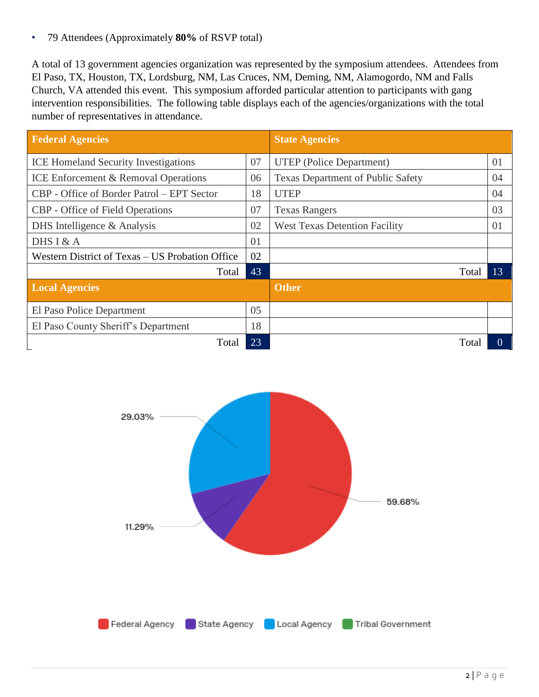• 79 Attendees (Approximately **80%** of RSVP total)

A total of 13 government agencies organization was represented by the symposium attendees. Attendees from El Paso, TX, Houston, TX, Lordsburg, NM, Las Cruces, NM, Deming, NM, Alamogordo, NM and Falls Church, VA attended this event. This symposium afforded particular attention to participants with gang intervention responsibilities. The following table displays each of the agencies/organizations with the total number of representatives in attendance.

| <b>Federal Agencies</b>                         |    | <b>State Agencies</b>                    |          |
|-------------------------------------------------|----|------------------------------------------|----------|
| <b>ICE Homeland Security Investigations</b>     | 07 | <b>UTEP</b> (Police Department)          | 01       |
| <b>ICE Enforcement &amp; Removal Operations</b> | 06 | <b>Texas Department of Public Safety</b> | 04       |
| CBP - Office of Border Patrol – EPT Sector      | 18 | <b>UTEP</b>                              | 04       |
| <b>CBP</b> - Office of Field Operations         | 07 | <b>Texas Rangers</b>                     | 03       |
| DHS Intelligence $&$ Analysis                   | 02 | <b>West Texas Detention Facility</b>     | 01       |
| DHS I & A                                       | 01 |                                          |          |
| Western District of Texas – US Probation Office | 02 |                                          |          |
| Total                                           | 43 | Total                                    | 13       |
| <b>Local Agencies</b>                           |    | <b>Other</b>                             |          |
| El Paso Police Department                       | 05 |                                          |          |
| El Paso County Sheriff's Department             | 18 |                                          |          |
| Total                                           | 23 | Total                                    | $\theta$ |

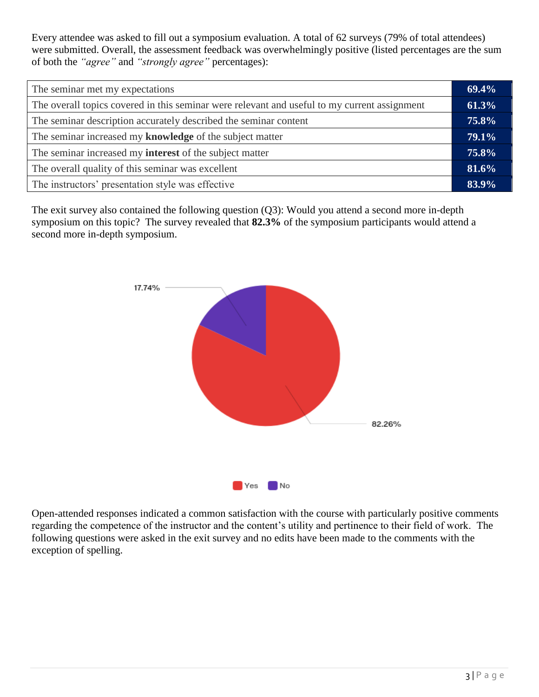Every attendee was asked to fill out a symposium evaluation. A total of 62 surveys (79% of total attendees) were submitted. Overall, the assessment feedback was overwhelmingly positive (listed percentages are the sum of both the *"agree"* and *"strongly agree"* percentages):

| The seminar met my expectations                                                              |  |
|----------------------------------------------------------------------------------------------|--|
| The overall topics covered in this seminar were relevant and useful to my current assignment |  |
| The seminar description accurately described the seminar content                             |  |
| The seminar increased my knowledge of the subject matter                                     |  |
| The seminar increased my <b>interest</b> of the subject matter                               |  |
| The overall quality of this seminar was excellent                                            |  |
| The instructors' presentation style was effective                                            |  |

The exit survey also contained the following question (Q3): Would you attend a second more in-depth symposium on this topic? The survey revealed that **82.3%** of the symposium participants would attend a second more in-depth symposium.



Open-attended responses indicated a common satisfaction with the course with particularly positive comments regarding the competence of the instructor and the content's utility and pertinence to their field of work. The following questions were asked in the exit survey and no edits have been made to the comments with the exception of spelling.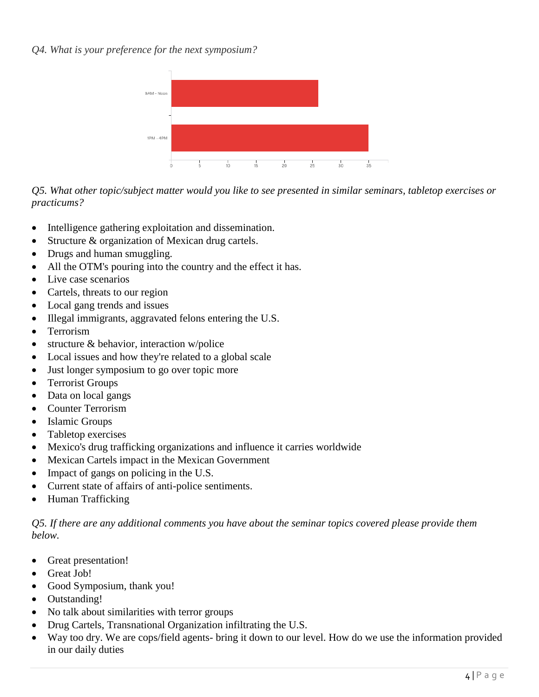*Q4. What is your preference for the next symposium?*



*Q5. What other topic/subject matter would you like to see presented in similar seminars, tabletop exercises or practicums?*

- Intelligence gathering exploitation and dissemination.
- Structure & organization of Mexican drug cartels.
- Drugs and human smuggling.
- All the OTM's pouring into the country and the effect it has.
- Live case scenarios
- Cartels, threats to our region
- Local gang trends and issues
- Illegal immigrants, aggravated felons entering the U.S.
- Terrorism
- structure & behavior, interaction w/police
- Local issues and how they're related to a global scale
- Just longer symposium to go over topic more
- Terrorist Groups
- Data on local gangs
- Counter Terrorism
- Islamic Groups
- Tabletop exercises
- Mexico's drug trafficking organizations and influence it carries worldwide
- Mexican Cartels impact in the Mexican Government
- Impact of gangs on policing in the U.S.
- Current state of affairs of anti-police sentiments.
- Human Trafficking

*Q5. If there are any additional comments you have about the seminar topics covered please provide them below.* 

- Great presentation!
- Great Job!
- Good Symposium, thank you!
- Outstanding!
- No talk about similarities with terror groups
- Drug Cartels, Transnational Organization infiltrating the U.S.
- Way too dry. We are cops/field agents- bring it down to our level. How do we use the information provided in our daily duties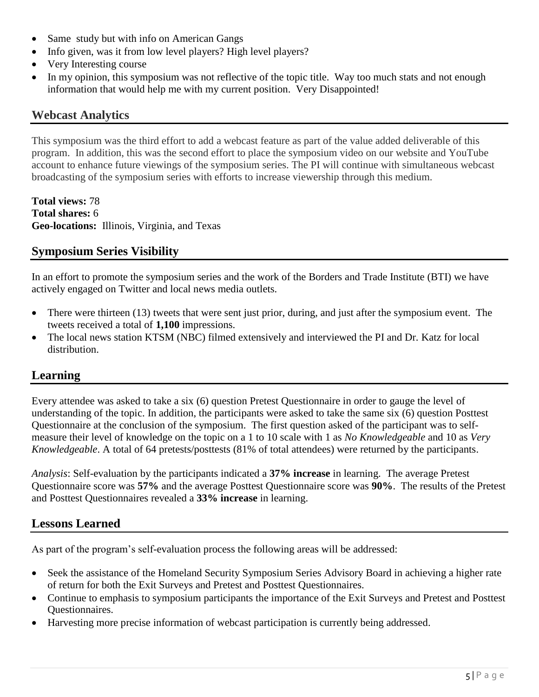- Same study but with info on American Gangs
- Info given, was it from low level players? High level players?
- Very Interesting course
- In my opinion, this symposium was not reflective of the topic title. Way too much stats and not enough information that would help me with my current position. Very Disappointed!

#### **Webcast Analytics**

This symposium was the third effort to add a webcast feature as part of the value added deliverable of this program. In addition, this was the second effort to place the symposium video on our website and YouTube account to enhance future viewings of the symposium series. The PI will continue with simultaneous webcast broadcasting of the symposium series with efforts to increase viewership through this medium.

**Total views:** 78 **Total shares:** 6 **Geo-locations:** Illinois, Virginia, and Texas

### **Symposium Series Visibility**

In an effort to promote the symposium series and the work of the Borders and Trade Institute (BTI) we have actively engaged on Twitter and local news media outlets.

- There were thirteen (13) tweets that were sent just prior, during, and just after the symposium event. The tweets received a total of **1,100** impressions.
- The local news station KTSM (NBC) filmed extensively and interviewed the PI and Dr. Katz for local distribution.

### **Learning**

Every attendee was asked to take a six (6) question Pretest Questionnaire in order to gauge the level of understanding of the topic. In addition, the participants were asked to take the same six (6) question Posttest Questionnaire at the conclusion of the symposium. The first question asked of the participant was to selfmeasure their level of knowledge on the topic on a 1 to 10 scale with 1 as *No Knowledgeable* and 10 as *Very Knowledgeable*. A total of 64 pretests/posttests (81% of total attendees) were returned by the participants.

*Analysis*: Self-evaluation by the participants indicated a **37% increase** in learning. The average Pretest Questionnaire score was **57%** and the average Posttest Questionnaire score was **90%**. The results of the Pretest and Posttest Questionnaires revealed a **33% increase** in learning.

### **Lessons Learned**

As part of the program's self-evaluation process the following areas will be addressed:

- Seek the assistance of the Homeland Security Symposium Series Advisory Board in achieving a higher rate of return for both the Exit Surveys and Pretest and Posttest Questionnaires.
- Continue to emphasis to symposium participants the importance of the Exit Surveys and Pretest and Posttest Questionnaires.
- Harvesting more precise information of webcast participation is currently being addressed.